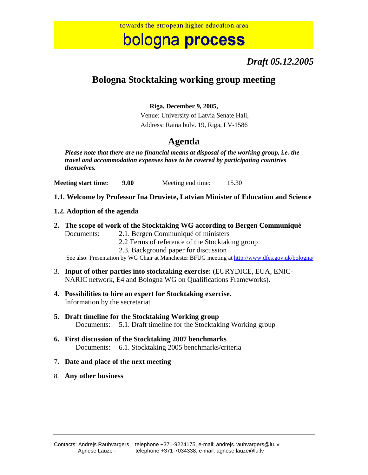# bologna process

## *Draft 05.12.2005*

## **Bologna Stocktaking working group meeting**

### **Riga, December 9, 2005,**

Venue: University of Latvia Senate Hall, Address: Raina bulv. 19, Riga, LV-1586

## **Agenda**

*Please note that there are no financial means at disposal of the working group, i.e. the travel and accommodation expenses have to be covered by participating countries themselves.* 

**Meeting start time:** 9.00 Meeting end time: 15.30

**1.1. Welcome by Professor Ina Druviete, Latvian Minister of Education and Science** 

### **1.2. Adoption of the agenda**

**2. The scope of work of the Stocktaking WG according to Bergen Communiqué** 

Documents: 2.1. Bergen Communiqué of ministers

- 2.2 Terms of reference of the Stocktaking group
- 2.3. Background paper for discussion

See also: Presentation by WG Chair at Manchester BFUG meeting at http://www.dfes.gov.uk/bologna/

- 3. **Input of other parties into stocktaking exercise:** (EURYDICE, EUA, ENIC-NARIC network, E4 and Bologna WG on Qualifications Frameworks)**.**
- **4. Possibilities to hire an expert for Stocktaking exercise.**  Information by the secretariat
- **5. Draft timeline for the Stocktaking Working group**  Documents: 5.1. Draft timeline for the Stocktaking Working group
- **6. First discussion of the Stocktaking 2007 benchmarks**  Documents: 6.1. Stocktaking 2005 benchmarks/criteria

#### 7. **Date and place of the next meeting**

8. **Any other business**